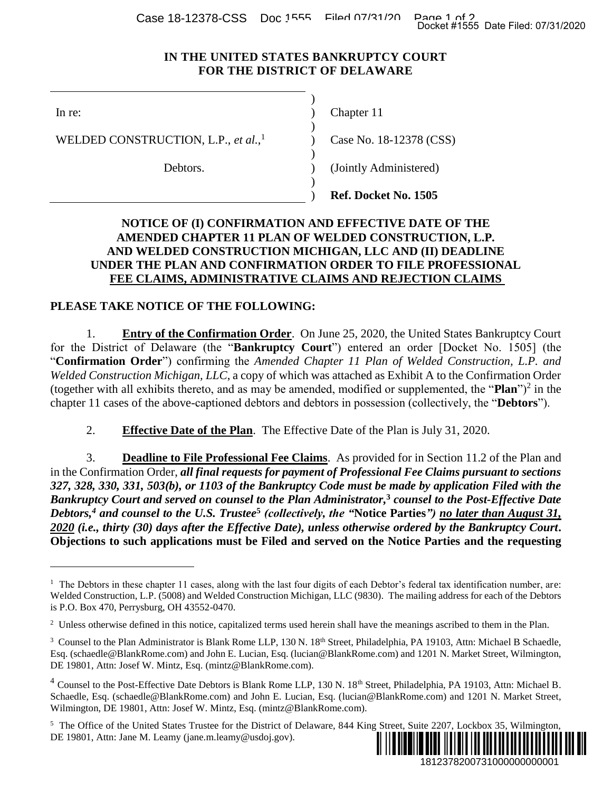Case 18-12378-CSS Doc 1555 Filed 07/31/20 Page 1 of 2<br>Docket #1555 Date Filed: 07/31/2020

## **IN THE UNITED STATES BANKRUPTCY COURT FOR THE DISTRICT OF DELAWARE**

)

)

) )

)

 $\overline{a}$ 

WELDED CONSTRUCTION, L.P., *et al.*, 1

Debtors.

In re: (a) Chapter 11

Case No. 18-12378 (CSS)

(Jointly Administered)

) **Ref. Docket No. 1505**

## **NOTICE OF (I) CONFIRMATION AND EFFECTIVE DATE OF THE AMENDED CHAPTER 11 PLAN OF WELDED CONSTRUCTION, L.P. AND WELDED CONSTRUCTION MICHIGAN, LLC AND (II) DEADLINE UNDER THE PLAN AND CONFIRMATION ORDER TO FILE PROFESSIONAL FEE CLAIMS, ADMINISTRATIVE CLAIMS AND REJECTION CLAIMS**

## **PLEASE TAKE NOTICE OF THE FOLLOWING:**

1. **Entry of the Confirmation Order**. On June 25, 2020, the United States Bankruptcy Court for the District of Delaware (the "**Bankruptcy Court**") entered an order [Docket No. 1505] (the "**Confirmation Order**") confirming the *Amended Chapter 11 Plan of Welded Construction, L.P. and Welded Construction Michigan, LLC*, a copy of which was attached as Exhibit A to the Confirmation Order (together with all exhibits thereto, and as may be amended, modified or supplemented, the "**Plan**")<sup>2</sup> in the chapter 11 cases of the above-captioned debtors and debtors in possession (collectively, the "**Debtors**").

2. **Effective Date of the Plan**. The Effective Date of the Plan is July 31, 2020.

3. **Deadline to File Professional Fee Claims**. As provided for in Section 11.2 of the Plan and in the Confirmation Order, *all final requests for payment of Professional Fee Claims pursuant to sections 327, 328, 330, 331, 503(b), or 1103 of the Bankruptcy Code must be made by application Filed with the Bankruptcy Court and served on counsel to the Plan Administrator,* **<sup>3</sup>** *counsel to the Post-Effective Date Debtors,<sup>4</sup> and counsel to the U.S. Trustee***<sup>5</sup>** *(collectively, the "***Notice Parties***") no later than August 31, 2020 (i.e., thirty (30) days after the Effective Date), unless otherwise ordered by the Bankruptcy Court***. Objections to such applications must be Filed and served on the Notice Parties and the requesting**  1812378200731000000000001 Docket #1555 Date Filed: 07/31/2020

<sup>&</sup>lt;sup>5</sup> The Office of the United States Trustee for the District of Delaware, 844 King Street, Suite 2207, Lockbox 35, Wilmington, DE 19801, Attn: Jane M. Leamy (jane.m.leamy@usdoj.gov).



<sup>&</sup>lt;sup>1</sup> The Debtors in these chapter 11 cases, along with the last four digits of each Debtor's federal tax identification number, are: Welded Construction, L.P. (5008) and Welded Construction Michigan, LLC (9830). The mailing address for each of the Debtors is P.O. Box 470, Perrysburg, OH 43552-0470.

<sup>&</sup>lt;sup>2</sup> Unless otherwise defined in this notice, capitalized terms used herein shall have the meanings ascribed to them in the Plan.

<sup>&</sup>lt;sup>3</sup> Counsel to the Plan Administrator is Blank Rome LLP, 130 N. 18<sup>th</sup> Street, Philadelphia, PA 19103, Attn: Michael B Schaedle, Esq. (schaedle@BlankRome.com) and John E. Lucian, Esq. (lucian@BlankRome.com) and 1201 N. Market Street, Wilmington, DE 19801, Attn: Josef W. Mintz, Esq. (mintz@BlankRome.com).

<sup>&</sup>lt;sup>4</sup> Counsel to the Post-Effective Date Debtors is Blank Rome LLP, 130 N. 18<sup>th</sup> Street, Philadelphia, PA 19103, Attn: Michael B. Schaedle, Esq. (schaedle@BlankRome.com) and John E. Lucian, Esq. (lucian@BlankRome.com) and 1201 N. Market Street, Wilmington, DE 19801, Attn: Josef W. Mintz, Esq. (mintz@BlankRome.com).